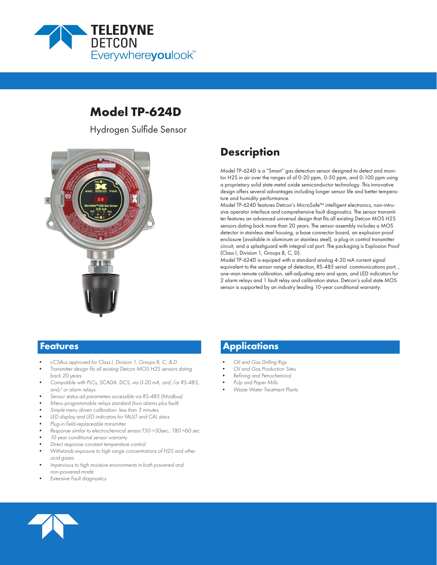

# **Model TP-624D**

Hydrogen Sulfide Sensor



# **Description**

Model TP-624D is a "Smart" gas detection sensor designed to detect and monitor H2S in air over the ranges of of 0-20 ppm, 0-50 ppm, and 0-100 ppm using a proprietary solid state metal oxide semiconductor technology. This innovative design offers several advantages including longer sensor life and better temperature and humidity performance.

Model TP-624D features Detcon's MicroSafe™ intelligent electronics, non-intrusive operator interface and comprehensive fault diagnostics. The sensor transmitter features an advanced universal design that fits all existing Detcon MOS H2S sensors dating back more than 20 years. The sensor assembly includes a MOS detector in stainless steel housing, a base connector board, an explosion proof enclosure (available in aluminum or stainless steel), a plug-in control transmitter circuit, and a splashguard with integral cal port. The packaging is Explosion Proof (Class I, Division 1, Groups B, C, D).

Model TP-624D is equiped with a standard analog 4-20 mA current signal equivalent to the sensor range of detection, RS-485 serial communications port, , one-man remote calibration, self-adjusting zero and span, and LED indicators for 2 alarm relays and 1 fault relay and calibration status. Detcon's solid state MOS sensor is supported by an industry leading 10-year conditional warranty.

- *• cCSAus approved for Class I, Division 1, Groups B, C, & D*
- *• Transmitter design fits all existing Detcon MOS H2S sensors dating back 20 years*
- *• Compatible with PLCs, SCADA, DCS, via 0-20 mA, and /or RS-485, and/ or alarm relays*
- *• Sensor status ad parameters accessible via RS-485 (Modbus)*
- *• Menu programmable relays standard (two alarms plus fault)*
- *• Simple menu driven calibration- less than 3 minutes*
- *• LED display and LED indicators for FAULT and CAL ststus*
- *• Plug-in field-replaceable transmitter*
- *• Response similar to electrochemical sensor:T50 <30sec., T80 <60 sec.*
- *• 10 year conditional sensor warranty*
- *• Direct response constant temperature control*
- *• Withstands exposure to high range concentrations of H2S and other acid gases*
- *• Impervious to high moisture environments in both powered and non-powered mode*
- *• Extensive Fault diagnostics*

## **Features Applications**

- *• Oil and Gas Drilling Rigs*
- *• Oil and Gas Production Sites*
- *• Refining and Petrochemical*
- *• Pulp and Paper Mills*
- *• Waste Water Treatment Plants*